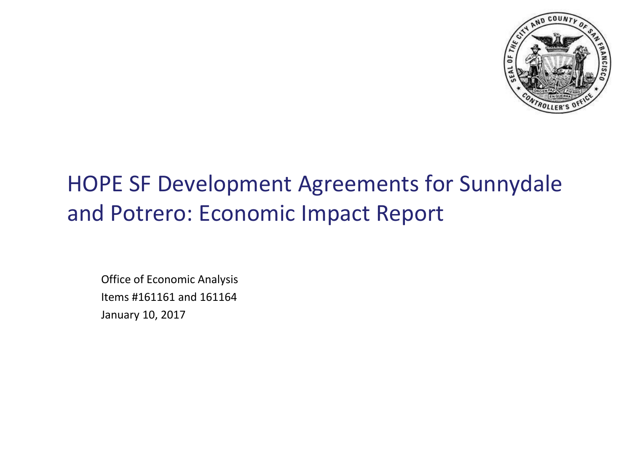

# HOPE SF Development Agreements for Sunnydale and Potrero: Economic Impact Report

Office of Economic Analysis Items #161161 and 161164 January 10, 2017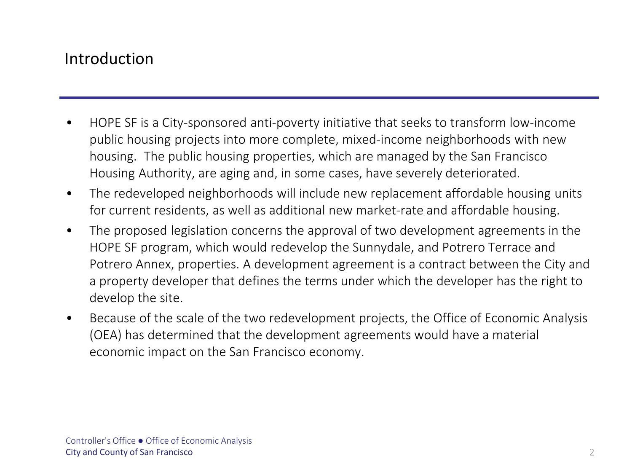#### Introduction

- HOPE SF is a City-sponsored anti-poverty initiative that seeks to transform low-income public housing projects into more complete, mixed-income neighborhoods with new housing. The public housing properties, which are managed by the San Francisco Housing Authority, are aging and, in some cases, have severely deteriorated.
- The redeveloped neighborhoods will include new replacement affordable housing units for current residents, as well as additional new market-rate and affordable housing.
- The proposed legislation concerns the approval of two development agreements in the HOPE SF program, which would redevelop the Sunnydale, and Potrero Terrace and Potrero Annex, properties. A development agreement is a contract between the City and a property developer that defines the terms under which the developer has the right to develop the site.
- Because of the scale of the two redevelopment projects, the Office of Economic Analysis (OEA) has determined that the development agreements would have a material economic impact on the San Francisco economy.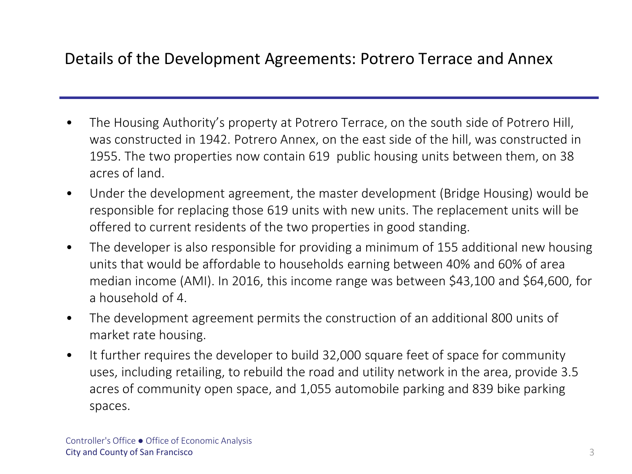### Details of the Development Agreements: Potrero Terrace and Annex

- The Housing Authority's property at Potrero Terrace, on the south side of Potrero Hill, was constructed in 1942. Potrero Annex, on the east side of the hill, was constructed in 1955. The two properties now contain 619 public housing units between them, on 38 acres of land.
- Under the development agreement, the master development (Bridge Housing) would be responsible for replacing those 619 units with new units. The replacement units will be offered to current residents of the two properties in good standing.
- The developer is also responsible for providing a minimum of 155 additional new housing units that would be affordable to households earning between 40% and 60% of area median income (AMI). In 2016, this income range was between \$43,100 and \$64,600, for a household of 4.
- The development agreement permits the construction of an additional 800 units of market rate housing.
- It further requires the developer to build 32,000 square feet of space for community uses, including retailing, to rebuild the road and utility network in the area, provide 3.5 acres of community open space, and 1,055 automobile parking and 839 bike parking spaces.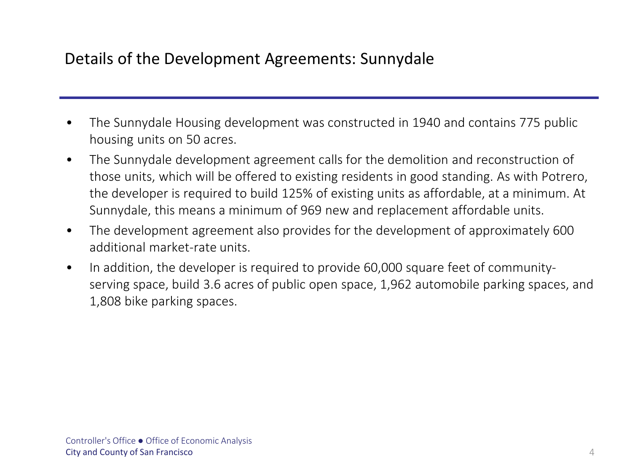## Details of the Development Agreements: Sunnydale

- The Sunnydale Housing development was constructed in 1940 and contains 775 public housing units on 50 acres.
- The Sunnydale development agreement calls for the demolition and reconstruction of those units, which will be offered to existing residents in good standing. As with Potrero, the developer is required to build 125% of existing units as affordable, at a minimum. At Sunnydale, this means a minimum of 969 new and replacement affordable units.
- The development agreement also provides for the development of approximately 600 additional market-rate units.
- In addition, the developer is required to provide 60,000 square feet of communityserving space, build 3.6 acres of public open space, 1,962 automobile parking spaces, and 1,808 bike parking spaces.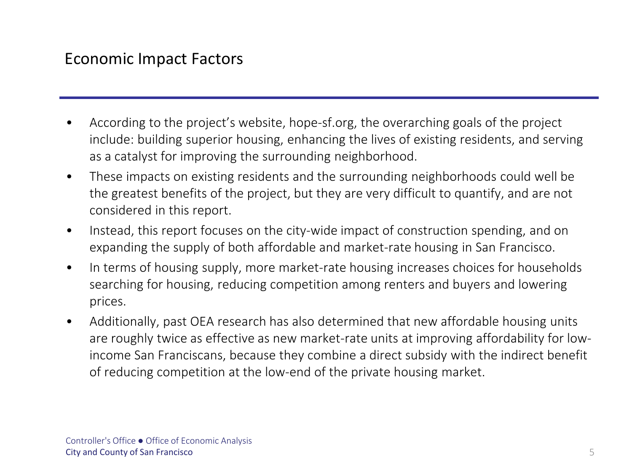#### Economic Impact Factors

- According to the project's website, hope-sf.org, the overarching goals of the project include: building superior housing, enhancing the lives of existing residents, and serving as a catalyst for improving the surrounding neighborhood.
- These impacts on existing residents and the surrounding neighborhoods could well be the greatest benefits of the project, but they are very difficult to quantify, and are not considered in this report.
- Instead, this report focuses on the city-wide impact of construction spending, and on expanding the supply of both affordable and market-rate housing in San Francisco.
- In terms of housing supply, more market-rate housing increases choices for households searching for housing, reducing competition among renters and buyers and lowering prices.
- Additionally, past OEA research has also determined that new affordable housing units are roughly twice as effective as new market-rate units at improving affordability for lowincome San Franciscans, because they combine a direct subsidy with the indirect benefit of reducing competition at the low-end of the private housing market.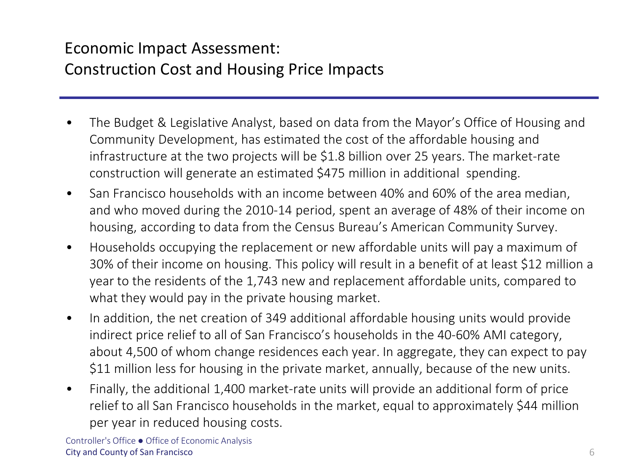# Economic Impact Assessment: Construction Cost and Housing Price Impacts

- The Budget & Legislative Analyst, based on data from the Mayor's Office of Housing and Community Development, has estimated the cost of the affordable housing and infrastructure at the two projects will be \$1.8 billion over 25 years. The market-rate construction will generate an estimated \$475 million in additional spending.
- San Francisco households with an income between 40% and 60% of the area median, and who moved during the 2010-14 period, spent an average of 48% of their income on housing, according to data from the Census Bureau's American Community Survey.
- Households occupying the replacement or new affordable units will pay a maximum of 30% of their income on housing. This policy will result in a benefit of at least \$12 million a year to the residents of the 1,743 new and replacement affordable units, compared to what they would pay in the private housing market.
- In addition, the net creation of 349 additional affordable housing units would provide indirect price relief to all of San Francisco's households in the 40-60% AMI category, about 4,500 of whom change residences each year. In aggregate, they can expect to pay \$11 million less for housing in the private market, annually, because of the new units.
- Finally, the additional 1,400 market-rate units will provide an additional form of price relief to all San Francisco households in the market, equal to approximately \$44 million per year in reduced housing costs.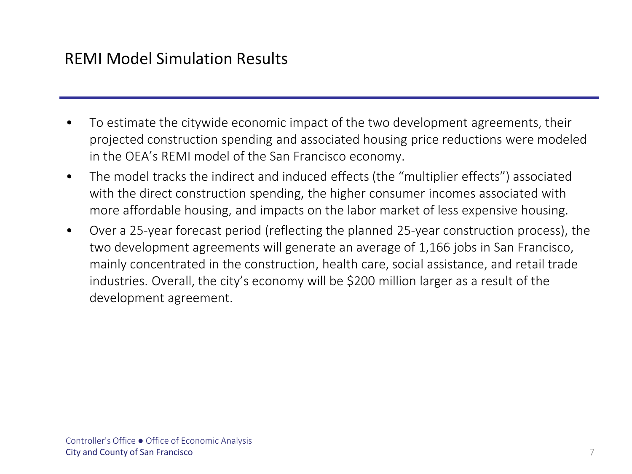#### REMI Model Simulation Results

- To estimate the citywide economic impact of the two development agreements, their projected construction spending and associated housing price reductions were modeled in the OEA's REMI model of the San Francisco economy.
- The model tracks the indirect and induced effects (the "multiplier effects") associated with the direct construction spending, the higher consumer incomes associated with more affordable housing, and impacts on the labor market of less expensive housing.
- Over a 25-year forecast period (reflecting the planned 25-year construction process), the two development agreements will generate an average of 1,166 jobs in San Francisco, mainly concentrated in the construction, health care, social assistance, and retail trade industries. Overall, the city's economy will be \$200 million larger as a result of the development agreement.